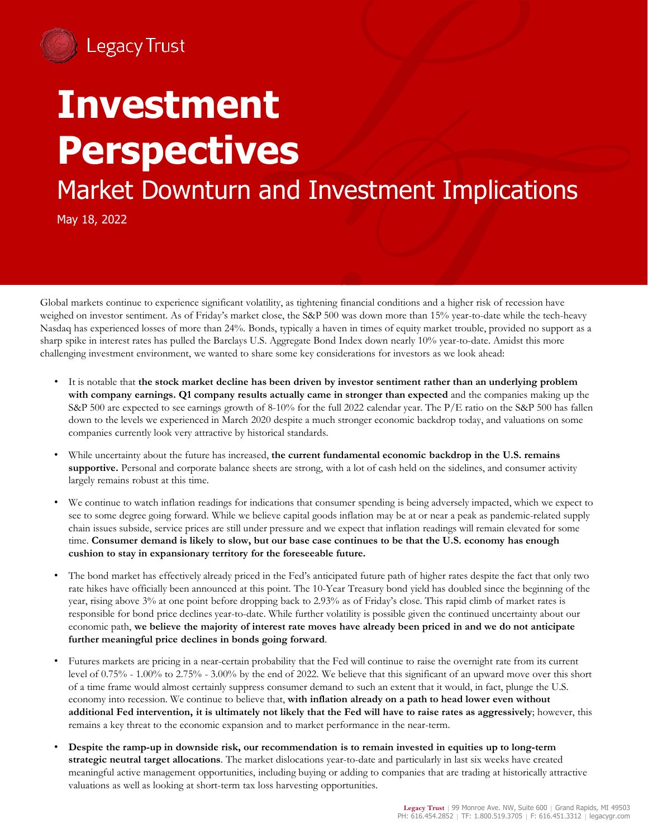

## **Investment Perspectives**

Market Downturn and Investment Implications

May 18, 2022

Global markets continue to experience significant volatility, as tightening financial conditions and a higher risk of recession have weighed on investor sentiment. As of Friday's market close, the S&P 500 was down more than 15% year-to-date while the tech-heavy Nasdaq has experienced losses of more than 24%. Bonds, typically a haven in times of equity market trouble, provided no support as a sharp spike in interest rates has pulled the Barclays U.S. Aggregate Bond Index down nearly 10% year-to-date. Amidst this more challenging investment environment, we wanted to share some key considerations for investors as we look ahead:

- It is notable that **the stock market decline has been driven by investor sentiment rather than an underlying problem with company earnings. Q1 company results actually came in stronger than expected** and the companies making up the S&P 500 are expected to see earnings growth of 8-10% for the full 2022 calendar year. The P/E ratio on the S&P 500 has fallen down to the levels we experienced in March 2020 despite a much stronger economic backdrop today, and valuations on some companies currently look very attractive by historical standards.
- While uncertainty about the future has increased, **the current fundamental economic backdrop in the U.S. remains supportive.** Personal and corporate balance sheets are strong, with a lot of cash held on the sidelines, and consumer activity largely remains robust at this time.
- We continue to watch inflation readings for indications that consumer spending is being adversely impacted, which we expect to see to some degree going forward. While we believe capital goods inflation may be at or near a peak as pandemic-related supply chain issues subside, service prices are still under pressure and we expect that inflation readings will remain elevated for some time. **Consumer demand is likely to slow, but our base case continues to be that the U.S. economy has enough cushion to stay in expansionary territory for the foreseeable future.**
- The bond market has effectively already priced in the Fed's anticipated future path of higher rates despite the fact that only two rate hikes have officially been announced at this point. The 10-Year Treasury bond yield has doubled since the beginning of the year, rising above 3% at one point before dropping back to 2.93% as of Friday's close. This rapid climb of market rates is responsible for bond price declines year-to-date. While further volatility is possible given the continued uncertainty about our economic path, **we believe the majority of interest rate moves have already been priced in and we do not anticipate further meaningful price declines in bonds going forward**.
- Futures markets are pricing in a near-certain probability that the Fed will continue to raise the overnight rate from its current level of 0.75% - 1.00% to 2.75% - 3.00% by the end of 2022. We believe that this significant of an upward move over this short of a time frame would almost certainly suppress consumer demand to such an extent that it would, in fact, plunge the U.S. economy into recession. We continue to believe that, **with inflation already on a path to head lower even without additional Fed intervention, it is ultimately not likely that the Fed will have to raise rates as aggressively**; however, this remains a key threat to the economic expansion and to market performance in the near-term.
- **Despite the ramp-up in downside risk, our recommendation is to remain invested in equities up to long-term strategic neutral target allocations**. The market dislocations year-to-date and particularly in last six weeks have created meaningful active management opportunities, including buying or adding to companies that are trading at historically attractive valuations as well as looking at short-term tax loss harvesting opportunities.